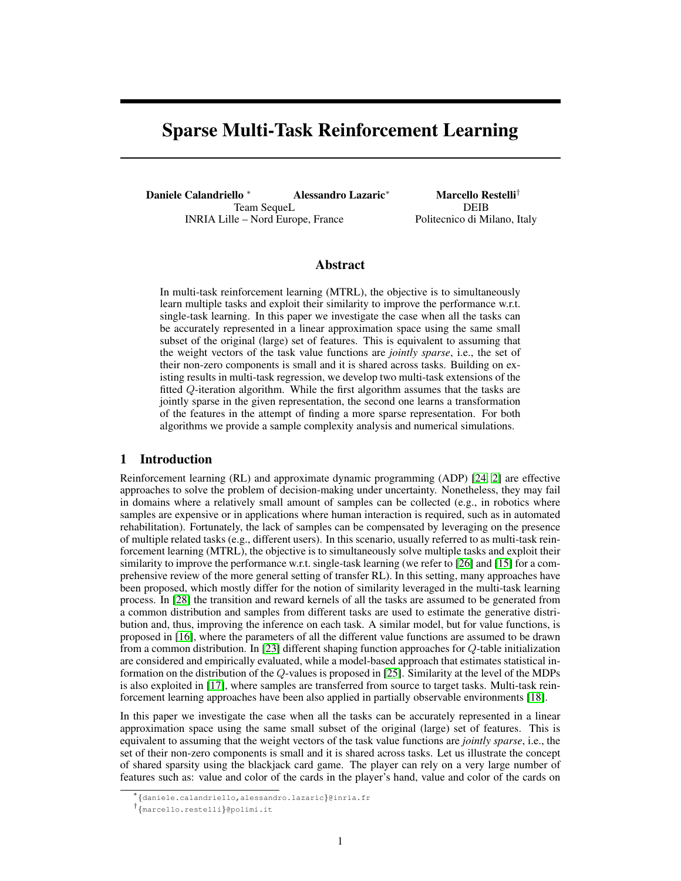# Sparse Multi-Task Reinforcement Learning

Daniele Calandriello <sup>∗</sup> Alessandro Lazaric<sup>∗</sup> Team SequeL INRIA Lille – Nord Europe, France

Marcello Restelli† DEIB Politecnico di Milano, Italy

# Abstract

In multi-task reinforcement learning (MTRL), the objective is to simultaneously learn multiple tasks and exploit their similarity to improve the performance w.r.t. single-task learning. In this paper we investigate the case when all the tasks can be accurately represented in a linear approximation space using the same small subset of the original (large) set of features. This is equivalent to assuming that the weight vectors of the task value functions are *jointly sparse*, i.e., the set of their non-zero components is small and it is shared across tasks. Building on existing results in multi-task regression, we develop two multi-task extensions of the fitted Q-iteration algorithm. While the first algorithm assumes that the tasks are jointly sparse in the given representation, the second one learns a transformation of the features in the attempt of finding a more sparse representation. For both algorithms we provide a sample complexity analysis and numerical simulations.

# 1 Introduction

Reinforcement learning (RL) and approximate dynamic programming (ADP) [24, 2] are effective approaches to solve the problem of decision-making under uncertainty. Nonetheless, they may fail in domains where a relatively small amount of samples can be collected (e.g., in robotics where samples are expensive or in applications where human interaction is required, such as in automated rehabilitation). Fortunately, the lack of samples can be compensated by leveraging on the presence of multiple related tasks (e.g., different users). In this scenario, usually referred to as multi-task reinforcement learning (MTRL), the objective is to simultaneously solve multiple tasks and exploit their similarity to improve the performance w.r.t. single-task learning (we refer to [26] and [15] for a comprehensive review of the more general setting of transfer RL). In this setting, many approaches have been proposed, which mostly differ for the notion of similarity leveraged in the multi-task learning process. In [28] the transition and reward kernels of all the tasks are assumed to be generated from a common distribution and samples from different tasks are used to estimate the generative distribution and, thus, improving the inference on each task. A similar model, but for value functions, is proposed in [16], where the parameters of all the different value functions are assumed to be drawn from a common distribution. In [23] different shaping function approaches for Q-table initialization are considered and empirically evaluated, while a model-based approach that estimates statistical information on the distribution of the Q-values is proposed in [25]. Similarity at the level of the MDPs is also exploited in [17], where samples are transferred from source to target tasks. Multi-task reinforcement learning approaches have been also applied in partially observable environments [18].

In this paper we investigate the case when all the tasks can be accurately represented in a linear approximation space using the same small subset of the original (large) set of features. This is equivalent to assuming that the weight vectors of the task value functions are *jointly sparse*, i.e., the set of their non-zero components is small and it is shared across tasks. Let us illustrate the concept of shared sparsity using the blackjack card game. The player can rely on a very large number of features such as: value and color of the cards in the player's hand, value and color of the cards on

<sup>∗</sup> {daniele.calandriello,alessandro.lazaric}@inria.fr

<sup>†</sup> {marcello.restelli}@polimi.it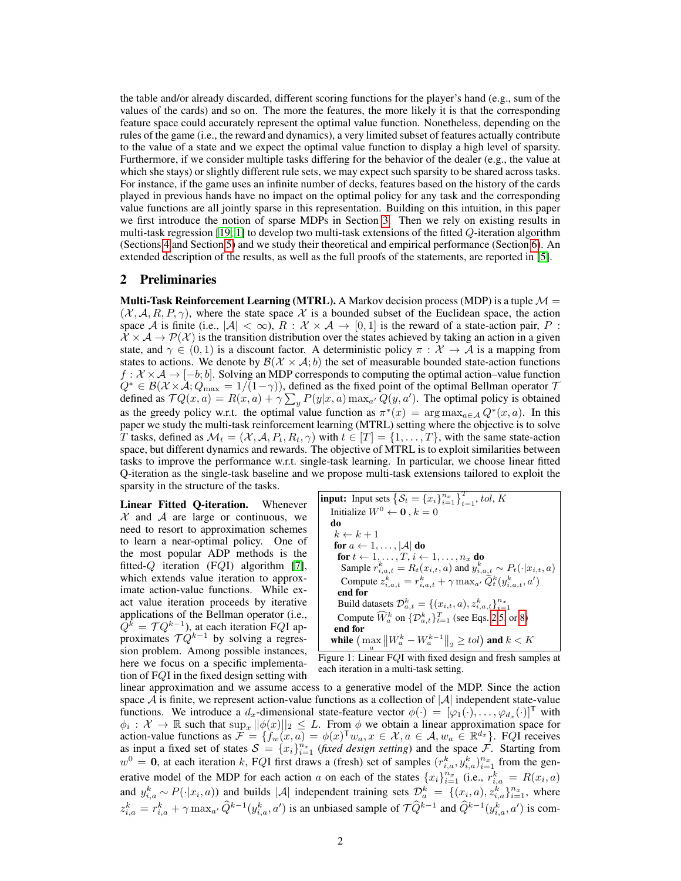the table and/or already discarded, different scoring functions for the player's hand (e.g., sum of the values of the cards) and so on. The more the features, the more likely it is that the corresponding feature space could accurately represent the optimal value function. Nonetheless, depending on the rules of the game (i.e., the reward and dynamics), a very limited subset of features actually contribute to the value of a state and we expect the optimal value function to display a high level of sparsity. Furthermore, if we consider multiple tasks differing for the behavior of the dealer (e.g., the value at which she stays) or slightly different rule sets, we may expect such sparsity to be shared across tasks. For instance, if the game uses an infinite number of decks, features based on the history of the cards played in previous hands have no impact on the optimal policy for any task and the corresponding value functions are all jointly sparse in this representation. Building on this intuition, in this paper we first introduce the notion of sparse MDPs in Section 3. Then we rely on existing results in multi-task regression [19, 1] to develop two multi-task extensions of the fitted Q-iteration algorithm (Sections 4 and Section 5) and we study their theoretical and empirical performance (Section 6). An extended description of the results, as well as the full proofs of the statements, are reported in [5].

#### 2 Preliminaries

**Multi-Task Reinforcement Learning (MTRL).** A Markov decision process (MDP) is a tuple  $\mathcal{M} =$  $(\mathcal{X}, \mathcal{A}, R, P, \gamma)$ , where the state space X is a bounded subset of the Euclidean space, the action space A is finite (i.e.,  $|\mathcal{A}| < \infty$ ),  $R : \mathcal{X} \times \mathcal{A} \rightarrow [0,1]$  is the reward of a state-action pair, P:  $\mathcal{X} \times \mathcal{A} \to \mathcal{P}(\mathcal{X})$  is the transition distribution over the states achieved by taking an action in a given state, and  $\gamma \in (0, 1)$  is a discount factor. A deterministic policy  $\pi : \mathcal{X} \to \mathcal{A}$  is a mapping from states to actions. We denote by  $\mathcal{B}(\mathcal{X} \times \mathcal{A}; b)$  the set of measurable bounded state-action functions  $f: \mathcal{X} \times \mathcal{A} \rightarrow [-b; b]$ . Solving an MDP corresponds to computing the optimal action–value function  $Q^* \in \mathcal{B}(\mathcal{X} \times \mathcal{A}; Q_{\text{max}} = 1/(1-\gamma))$ , defined as the fixed point of the optimal Bellman operator  $\mathcal{T}$ defined as  $\mathcal{T}Q(x, a) = R(x, a) + \gamma \sum_{y} P(y|x, a) \max_{a'} Q(y, a')$ . The optimal policy is obtained as the greedy policy w.r.t. the optimal value function as  $\pi^*(x) = \arg \max_{a \in A} Q^*(x, a)$ . In this paper we study the multi-task reinforcement learning (MTRL) setting where the objective is to solve T tasks, defined as  $\mathcal{M}_t = (\mathcal{X}, \mathcal{A}, P_t, R_t, \gamma)$  with  $t \in [T] = \{1, \dots, T\}$ , with the same state-action space, but different dynamics and rewards. The objective of MTRL is to exploit similarities between tasks to improve the performance w.r.t. single-task learning. In particular, we choose linear fitted Q-iteration as the single-task baseline and we propose multi-task extensions tailored to exploit the sparsity in the structure of the tasks.

Linear Fitted Q-iteration. Whenever  $X$  and  $A$  are large or continuous, we need to resort to approximation schemes to learn a near-optimal policy. One of the most popular ADP methods is the fitted- $Q$  iteration (FQI) algorithm [7], which extends value iteration to approximate action-value functions. While exact value iteration proceeds by iterative applications of the Bellman operator (i.e.,  $\tilde{Q}^k = \mathcal{T} Q^{k-1}$ , at each iteration FQI approximates  $\mathcal{T} Q^{k-1}$  by solving a regression problem. Among possible instances, here we focus on a specific implementation of FQI in the fixed design setting with

**input:** Input sets 
$$
\{S_t = \{x_i\}_{i=1}^{n_x}\}_{t=1}^T
$$
, tol, K\nInitialize  $W^0 \leftarrow \mathbf{0}$ ,  $k = 0$ \n**do**\n $k \leftarrow k+1$ \n**for**  $a \leftarrow 1, \ldots, |\mathcal{A}|$ \n**do**\n**for**  $t \leftarrow 1, \ldots, T, i \leftarrow 1, \ldots, n_x$ \n**do**\nSample  $r_{i,a,t}^k = R_t(x_{i,t}, a)$  and  $y_{i,a,t}^k \sim P_t(\cdot | x_{i,t}, a)$ 

\nCompute  $z_{i,a,t}^k = r_{i,a,t}^k + \gamma \max_{a'} \tilde{Q}_t^k(y_{i,a,t}^k, a')$ 

\n**end for**\nBuild datasets  $\mathcal{D}_{a,t}^k = \{(x_{i,t}, a), z_{i,a,t}^k\}_{i=1}^{n_x}$ 

\nCompute  $\widehat{W}_a^k$  on  $\{\mathcal{D}_{a,t}^k\}_{t=1}^T$  (see Eqs. 2, 5, or 8)

\n**end for**\n**while**  $(\max_{a} || W_a^k - W_a^{k-1} ||_2 \geq tol)$  and  $k < K$ 

Figure 1: Linear FQI with fixed design and fresh samples at each iteration in a multi-task setting.

linear approximation and we assume access to a generative model of the MDP. Since the action space  $A$  is finite, we represent action-value functions as a collection of  $|A|$  independent state-value functions. We introduce a  $d_x$ -dimensional state-feature vector  $\phi(\cdot) = [\varphi_1(\cdot), \dots, \varphi_{d_x}(\cdot)]^{\mathsf{T}}$  with  $\phi_i : \mathcal{X} \to \mathbb{R}$  such that  $\sup_x ||\phi(x)||_2 \leq L$ . From  $\phi$  we obtain a linear approximation space for action-value functions as  $\mathcal{F} = \{f_w(x, a) = \phi(x)^\mathsf{T} w_a, x \in \mathcal{X}, a \in \mathcal{A}, w_a \in \mathbb{R}^{d_x}\}\$ . FQI receives as input a fixed set of states  $S = \{x_i\}_{i=1}^{n_x}$  (*fixed design setting*) and the space  $\vec{\mathcal{F}}$ . Starting from  $w^0 = 0$ , at each iteration k, FQI first draws a (fresh) set of samples  $(r_{i,a}^k, y_{i,a}^k)_{i=1}^{n_x}$  from the generative model of the MDP for each action a on each of the states  $\{x_i\}_{i=1}^{n_x}$  (i.e.,  $r_{i,a}^k = R(x_i, a)$ ) and  $y_{i,a}^k \sim P(\cdot|x_i, a)$  and builds |A| independent training sets  $\mathcal{D}_a^k = \{(x_i, a), z_{i,a}^k\}_{i=1}^{n_x}$ , where  $z_{i,a}^k = r_{i,a}^k + \gamma \max_{a'} \widehat{Q}^{k-1}(y_{i,a}^k, a')$  is an unbiased sample of  $\widehat{\mathcal{T}Q}^{k-1}$  and  $\widehat{Q}^{k-1}(y_{i,a}^k, a')$  is com-

a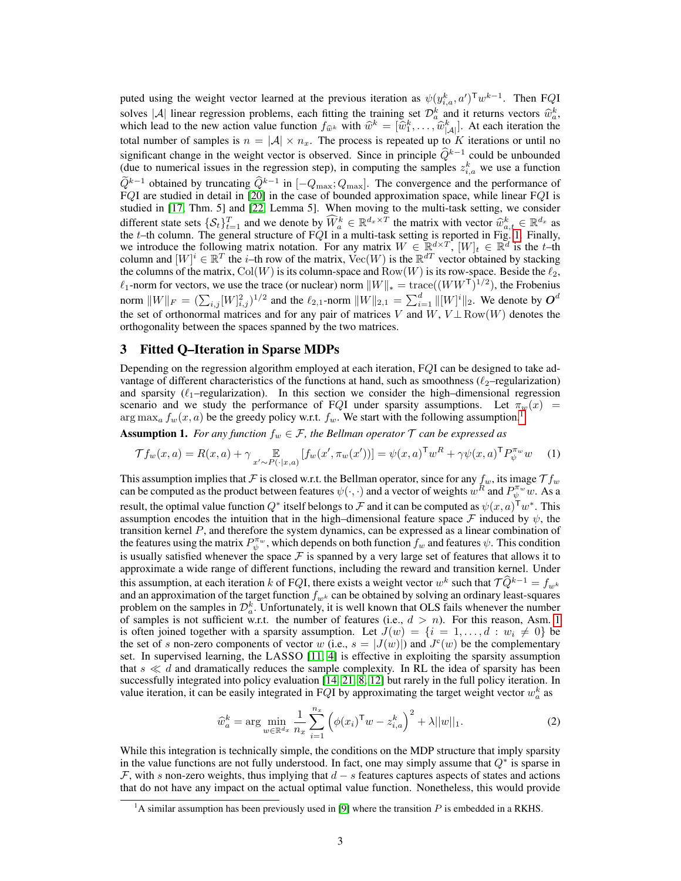puted using the weight vector learned at the previous iteration as  $\psi(y_{i,a}^k, a')^{\mathsf{T}} w^{k-1}$ . Then FQI solves |A| linear regression problems, each fitting the training set  $\mathcal{D}_{a}^{k}$  and it returns vectors  $\hat{w}_{a}^{k}$ , which lead to the new action value function  $f_{\alpha k}$  with  $\hat{w}_{a}^{k} = [\hat{w}_{a}^{k}]$ . At each iteration which lead to the new action value function  $f_{\hat{w}^k}$  with  $\hat{w}^k = [\hat{w}_1^k, \dots, \hat{w}_{|A|}^k]$ . At each iteration the total number of samples is  $n = |\mathcal{A}| \times n_x$ . The process is repeated up to K iterations or until no significant change in the weight vector is observed. Since in principle  $\hat{Q}^{k-1}$  could be unbounded (due to numerical issues in the approaches) in commuting the couples  $k$ , we use a function (due to numerical issues in the regression step), in computing the samples  $z_{i,a}^k$  we use a function  $\tilde{Q}^{k-1}$  obtained by truncating  $\tilde{Q}^{k-1}$  in  $[-Q_{\text{max}}; Q_{\text{max}}]$ . The convergence and the performance of FQI are studied in detail in [20] in the case of bounded approximation space, while linear FQI is studied in [17, Thm. 5] and [22, Lemma 5]. When moving to the multi-task setting, we consider different state sets  $\{S_t\}_{t=1}^T$  and we denote by  $\widehat{W}_a^k \in \mathbb{R}^{d_x \times T}$  the matrix with vector  $\widehat{w}_{a,t}^k \in \mathbb{R}^{d_x}$  as the t-th column. The general structure of FOI in a multi-task setting is reported in Fig. the  $t$ –th column. The general structure of FQI in a multi-task setting is reported in Fig. 1. Finally, we introduce the following matrix notation. For any matrix  $W \in \mathbb{R}^{d \times T}$ ,  $[W]_t \in \mathbb{R}^d$  is the t-th column and  $[W]^i \in \mathbb{R}^T$  the *i*-th row of the matrix,  $\text{Vec}(W)$  is the  $\mathbb{R}^{dT}$  vector obtained by stacking the columns of the matrix, Col(W) is its column-space and  $Row(W)$  is its row-space. Beside the  $\ell_2$ ,  $\ell_1$ -norm for vectors, we use the trace (or nuclear) norm  $||W||_* = \text{trace}((WW^{\mathsf{T}})^{1/2})$ , the Frobenius norm  $||W||_F = (\sum_{i,j} [W]_{i,j}^2)^{1/2}$  and the  $\ell_{2,1}$ -norm  $||W||_{2,1} = \sum_{i=1}^d ||[W]^i||_2$ . We denote by  $\mathbf{O}^d$ the set of orthonormal matrices and for any pair of matrices V and  $W, V \perp \text{Row}(W)$  denotes the orthogonality between the spaces spanned by the two matrices.

# 3 Fitted Q–Iteration in Sparse MDPs

Depending on the regression algorithm employed at each iteration, FQI can be designed to take advantage of different characteristics of the functions at hand, such as smoothness ( $\ell_2$ –regularization) and sparsity ( $\ell_1$ –regularization). In this section we consider the high–dimensional regression scenario and we study the performance of FQI under sparsity assumptions. Let  $\pi_w(x)$  = arg max<sub>a</sub>  $f_w(x, a)$  be the greedy policy w.r.t.  $f_w$ . We start with the following assumption.<sup>1</sup>

**Assumption 1.** *For any function*  $f_w \in \mathcal{F}$ *, the Bellman operator*  $\mathcal{T}$  *can be expressed as* 

$$
\mathcal{T}f_w(x,a) = R(x,a) + \gamma \mathop{\mathbb{E}}_{x' \sim P(\cdot|x,a)} [f_w(x', \pi_w(x'))] = \psi(x,a)^{\mathsf{T}} w^R + \gamma \psi(x,a)^{\mathsf{T}} P_{\psi}^{\pi_w} w \tag{1}
$$

This assumption implies that F is closed w.r.t. the Bellman operator, since for any  $f_w$ , its image  $\mathcal{T} f_w$ can be computed as the product between features  $\psi(\cdot,\cdot)$  and a vector of weights  $w^R$  and  $P_{\psi}^{\pi_w}w$ . As a result, the optimal value function  $Q^*$  itself belongs to  $\mathcal F$  and it can be computed as  $\psi(x, a)^\mathsf{T} w^*$ . This assumption encodes the intuition that in the high–dimensional feature space  $\mathcal F$  induced by  $\psi$ , the transition kernel P, and therefore the system dynamics, can be expressed as a linear combination of the features using the matrix  $P_{\psi}^{\pi_w}$ , which depends on both function  $f_w$  and features  $\psi$ . This condition is usually satisfied whenever the space  $\mathcal F$  is spanned by a very large set of features that allows it to approximate a wide range of different functions, including the reward and transition kernel. Under this assumption, at each iteration k of FQI, there exists a weight vector  $w^k$  such that  $\mathcal{T} \widehat{Q}^{k-1} = f_{w^k}$ and an approximation of the target function  $f_{w^k}$  can be obtained by solving an ordinary least-squares problem on the samples in  $\mathcal{D}_{a}^{k}$ . Unfortunately, it is well known that OLS fails whenever the number of samples is not sufficient w.r.t. the number of features (i.e.,  $d > n$ ). For this reason, Asm. 1 is often joined together with a sparsity assumption. Let  $J(w) = \{i = 1, \ldots, d : w_i \neq 0\}$  be the set of s non-zero components of vector w (i.e.,  $s = |J(w)|$ ) and  $J^{c}(w)$  be the complementary set. In supervised learning, the LASSO [11, 4] is effective in exploiting the sparsity assumption that  $s \ll d$  and dramatically reduces the sample complexity. In RL the idea of sparsity has been successfully integrated into policy evaluation [14, 21, 8, 12] but rarely in the full policy iteration. In value iteration, it can be easily integrated in FQI by approximating the target weight vector  $w_a^k$  as

$$
\widehat{w}_a^k = \arg \min_{w \in \mathbb{R}^{d_x}} \frac{1}{n_x} \sum_{i=1}^{n_x} \left( \phi(x_i)^{\mathsf{T}} w - z_{i,a}^k \right)^2 + \lambda ||w||_1. \tag{2}
$$

While this integration is technically simple, the conditions on the MDP structure that imply sparsity in the value functions are not fully understood. In fact, one may simply assume that  $Q^*$  is sparse in  $\mathcal F$ , with s non-zero weights, thus implying that  $d - s$  features captures aspects of states and actions that do not have any impact on the actual optimal value function. Nonetheless, this would provide

<sup>&</sup>lt;sup>1</sup>A similar assumption has been previously used in [9] where the transition  $P$  is embedded in a RKHS.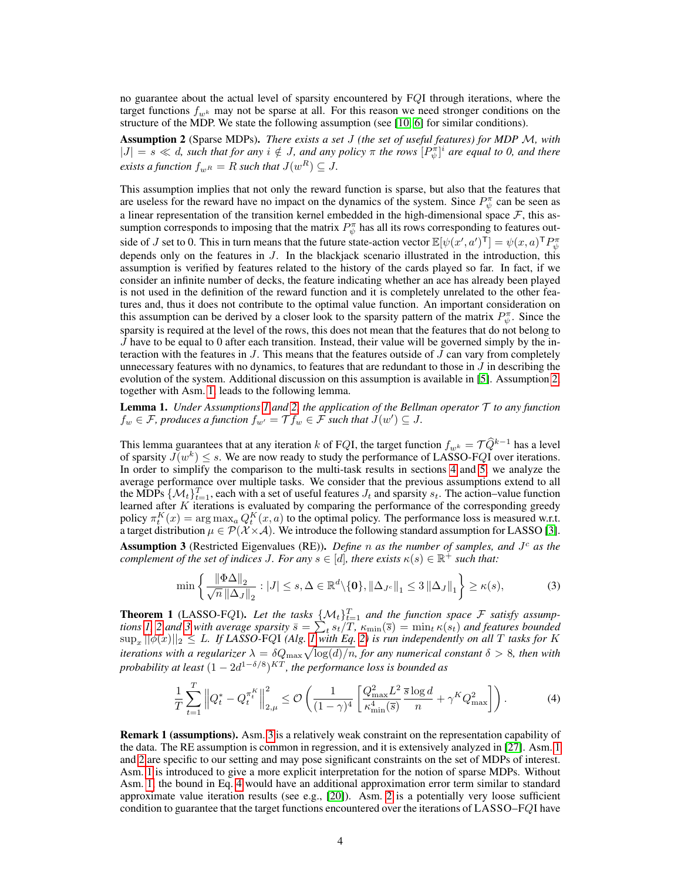no guarantee about the actual level of sparsity encountered by  $FQI$  through iterations, where the target functions  $f_{w^k}$  may not be sparse at all. For this reason we need stronger conditions on the structure of the MDP. We state the following assumption (see [10, 6] for similar conditions).

Assumption 2 (Sparse MDPs). *There exists a set* J *(the set of useful features) for MDP* M*, with*  $|J| = s \ll d$ , such that for any  $i \notin J$ , and any policy  $\pi$  the rows  $[P^{\pi}_{\psi}]^i$  are equal to 0, and there *exists a function*  $f_{w^R} = R$  *such that*  $J(w^R) \subseteq J$ .

This assumption implies that not only the reward function is sparse, but also that the features that are useless for the reward have no impact on the dynamics of the system. Since  $P^{\pi}_{\psi}$  can be seen as a linear representation of the transition kernel embedded in the high-dimensional space  $\mathcal{F}$ , this assumption corresponds to imposing that the matrix  $P_{\psi}^{\pi}$  has all its rows corresponding to features outside of J set to 0. This in turn means that the future state-action vector  $\mathbb{E}[\psi(x', a')]^T$   $= \psi(x, a)^T P_{\psi}^{\pi}$ depends only on the features in J. In the blackjack scenario illustrated in the introduction, this assumption is verified by features related to the history of the cards played so far. In fact, if we consider an infinite number of decks, the feature indicating whether an ace has already been played is not used in the definition of the reward function and it is completely unrelated to the other features and, thus it does not contribute to the optimal value function. An important consideration on this assumption can be derived by a closer look to the sparsity pattern of the matrix  $P_{\psi}^{\pi}$ . Since the sparsity is required at the level of the rows, this does not mean that the features that do not belong to  $J$  have to be equal to 0 after each transition. Instead, their value will be governed simply by the interaction with the features in  $J$ . This means that the features outside of  $J$  can vary from completely unnecessary features with no dynamics, to features that are redundant to those in  $J$  in describing the evolution of the system. Additional discussion on this assumption is available in [5]. Assumption 2, together with Asm. 1, leads to the following lemma.

Lemma 1. *Under Assumptions 1 and 2, the application of the Bellman operator* T *to any function*  $f_w \in \mathcal{F}$ , produces a function  $f_{w'} = \mathcal{T} f_w \in \mathcal{F}$  such that  $\dot{J}(w') \subseteq J$ .

This lemma guarantees that at any iteration k of FQI, the target function  $f_{w^k} = \mathcal{T} \widehat{Q}^{k-1}$  has a level of sparsity  $J(w^k) \leq s$ . We are now ready to study the performance of LASSO-FQI over iterations. In order to simplify the comparison to the multi-task results in sections 4 and 5, we analyze the average performance over multiple tasks. We consider that the previous assumptions extend to all the MDPs  $\{M_t\}_{t=1}^T$ , each with a set of useful features  $J_t$  and sparsity  $s_t$ . The action–value function learned after  $K$  iterations is evaluated by comparing the performance of the corresponding greedy policy  $\pi_t^K(x) = \arg \max_a Q_t^K(x, a)$  to the optimal policy. The performance loss is measured w.r.t. a target distribution  $\mu \in \mathcal{P}(\mathcal{X} \times \mathcal{A})$ . We introduce the following standard assumption for LASSO [3].

Assumption 3 (Restricted Eigenvalues (RE)). *Define n* as the number of samples, and J<sup>c</sup> as the *complement of the set of indices J. For any*  $s \in [d]$ , there exists  $\kappa(s) \in \mathbb{R}^+$  such that:

$$
\min\left\{\frac{\|\Phi\Delta\|_2}{\sqrt{n}\,\|\Delta_J\|_2} : |J| \le s, \Delta \in \mathbb{R}^d \setminus \{\mathbf{0}\}, \|\Delta_{J^c}\|_1 \le 3\,\|\Delta_J\|_1\right\} \ge \kappa(s),\tag{3}
$$

**Theorem 1** (LASSO-FQI). Let the tasks  $\{\mathcal{M}_t\}_{t=1}^T$  and the function space  $\mathcal F$  satisfy assump*tions* 1, 2 and 3 with average sparsity  $\bar{s} = \sum_{t} s_t/T$ ,  $\kappa_{\min}(\bar{s}) = \min_t \kappa(s_t)$  and features bounded  $|\sup_x ||\phi(x)||_2 \leq L$ . If LASSO-FQI (Alg. 1 with Eq. 2) is run independently on all T tasks for K iterations with a regularizer  $\lambda = \delta Q_{\text{max}}\sqrt{\log(d)/n}$ , for any numerical constant  $\delta > 8$ , then with *probability at least*  $(1 - 2d^{1-\delta/8})^{KT}$ , the performance loss is bounded as

$$
\frac{1}{T} \sum_{t=1}^{T} \left\| Q_t^* - Q_t^{\pi_t^K} \right\|_{2,\mu}^2 \le \mathcal{O}\left( \frac{1}{(1-\gamma)^4} \left[ \frac{Q_{\text{max}}^2 L^2 \, \overline{s} \log d}{\kappa_{\text{min}}^4(\overline{s})} + \gamma^K Q_{\text{max}}^2 \right] \right). \tag{4}
$$

Remark 1 (assumptions). Asm. 3 is a relatively weak constraint on the representation capability of the data. The RE assumption is common in regression, and it is extensively analyzed in [27]. Asm. 1 and 2 are specific to our setting and may pose significant constraints on the set of MDPs of interest. Asm. 1 is introduced to give a more explicit interpretation for the notion of sparse MDPs. Without Asm. 1, the bound in Eq. 4 would have an additional approximation error term similar to standard approximate value iteration results (see e.g., [20]). Asm. 2 is a potentially very loose sufficient condition to guarantee that the target functions encountered over the iterations of LASSO–FQI have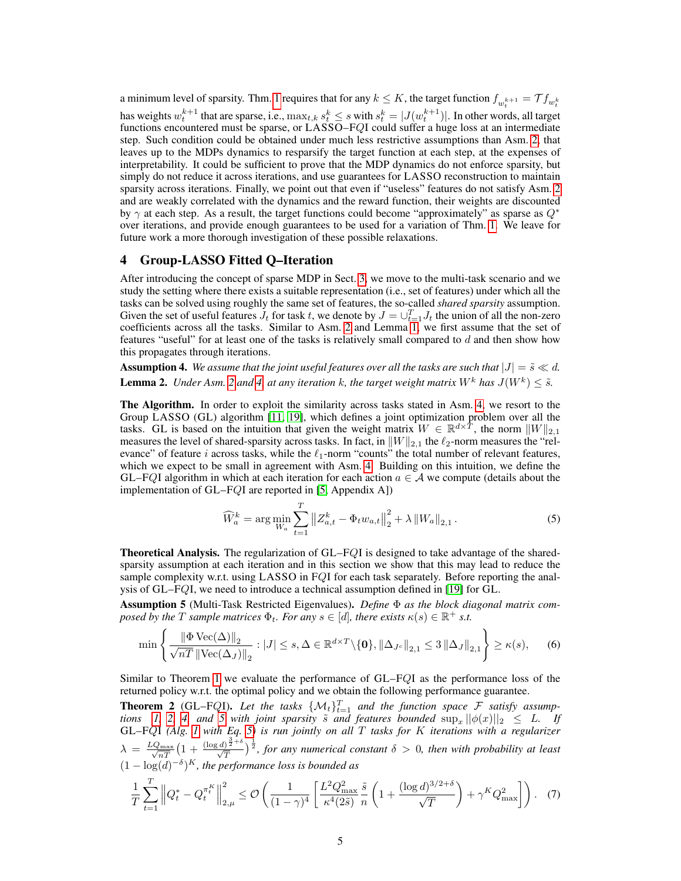a minimum level of sparsity. Thm. 1 requires that for any  $k \leq K$ , the target function  $f_{w_t^{k+1}} = \mathcal{T} f_{w_t^k}$ thas weights  $w_t^{k+1}$  that are sparse, i.e.,  $\max_{t,k} s_t^k \leq s$  with  $s_t^k = |J(w_t^{k+1})|$ . In other words, all target functions encountered must be sparse, or LASSO–FQI could suffer a huge loss at an intermediate step. Such condition could be obtained under much less restrictive assumptions than Asm. 2, that leaves up to the MDPs dynamics to resparsify the target function at each step, at the expenses of interpretability. It could be sufficient to prove that the MDP dynamics do not enforce sparsity, but simply do not reduce it across iterations, and use guarantees for LASSO reconstruction to maintain sparsity across iterations. Finally, we point out that even if "useless" features do not satisfy Asm. 2 and are weakly correlated with the dynamics and the reward function, their weights are discounted by  $\gamma$  at each step. As a result, the target functions could become "approximately" as sparse as  $Q^*$ over iterations, and provide enough guarantees to be used for a variation of Thm. 1. We leave for future work a more thorough investigation of these possible relaxations.

### 4 Group-LASSO Fitted Q–Iteration

After introducing the concept of sparse MDP in Sect. 3, we move to the multi-task scenario and we study the setting where there exists a suitable representation (i.e., set of features) under which all the tasks can be solved using roughly the same set of features, the so-called *shared sparsity* assumption. Given the set of useful features  $J_t$  for task t, we denote by  $J = \bigcup_{t=1}^T J_t$  the union of all the non-zero coefficients across all the tasks. Similar to Asm. 2 and Lemma 1, we first assume that the set of features "useful" for at least one of the tasks is relatively small compared to  $d$  and then show how this propagates through iterations.

**Assumption 4.** We assume that the joint useful features over all the tasks are such that  $|J| = \tilde{s} \ll d$ . **Lemma 2.** *Under Asm.* 2 *and* 4, *at any iteration* k, the target weight matrix  $W^k$  has  $J(W^k) \leq \tilde{s}$ .

The Algorithm. In order to exploit the similarity across tasks stated in Asm. 4, we resort to the Group LASSO (GL) algorithm [11, 19], which defines a joint optimization problem over all the tasks. GL is based on the intuition that given the weight matrix  $W \in \mathbb{R}^{d \times T}$ , the norm  $||W||_{2,1}$ measures the level of shared-sparsity across tasks. In fact, in  $||W||_{2,1}$  the  $\ell_2$ -norm measures the "relevance" of feature i across tasks, while the  $\ell_1$ -norm "counts" the total number of relevant features, which we expect to be small in agreement with Asm. 4. Building on this intuition, we define the GL–FQI algorithm in which at each iteration for each action  $a \in \mathcal{A}$  we compute (details about the implementation of GL–FQI are reported in [5, Appendix A])

$$
\widehat{W}_a^k = \arg \min_{W_a} \sum_{t=1}^T \left\| Z_{a,t}^k - \Phi_t w_{a,t} \right\|_2^2 + \lambda \left\| W_a \right\|_{2,1} . \tag{5}
$$

Theoretical Analysis. The regularization of GL–FQI is designed to take advantage of the sharedsparsity assumption at each iteration and in this section we show that this may lead to reduce the sample complexity w.r.t. using LASSO in FQI for each task separately. Before reporting the analysis of GL–FQI, we need to introduce a technical assumption defined in [19] for GL.

Assumption 5 (Multi-Task Restricted Eigenvalues). *Define* Φ *as the block diagonal matrix com*posed by the  $T$  sample matrices  $\Phi_t$ . For any  $s \in [d]$ , there exists  $\kappa(s) \in \mathbb{R}^+$  s.t.

$$
\min \left\{ \frac{\left\| \Phi \text{Vec}(\Delta) \right\|_2}{\sqrt{n}T \left\| \text{Vec}(\Delta_J) \right\|_2} : |J| \le s, \Delta \in \mathbb{R}^{d \times T} \setminus \{0\}, \left\| \Delta_{J^c} \right\|_{2,1} \le 3 \left\| \Delta_J \right\|_{2,1} \right\} \ge \kappa(s), \quad (6)
$$

Similar to Theorem 1 we evaluate the performance of GL–FQI as the performance loss of the returned policy w.r.t. the optimal policy and we obtain the following performance guarantee.

**Theorem 2** (GL–FQI). Let the tasks  $\{M_t\}_{t=1}^T$  and the function space  $\mathcal F$  satisfy assump*tions* 1, 2, 4, and 5 with joint sparsity  $\tilde{s}$  and features bounded  $\sup_x ||\phi(x)||_2 \leq L$ . If GL–FQI *(Alg. 1 with Eq. 5) is run jointly on all* T *tasks for* K *iterations with a regularizer*  $\lambda = \frac{LQ_{\text{max}}}{\sqrt{nT}} \left(1 + \frac{(\log d)^{\frac{3}{2}+\delta}}{\sqrt{T}}\right)^{\frac{1}{2}}$ , for any numerical constant  $\delta > 0$ , then with probability at least  $(1 - \log(d)^{-\delta})^K$ , the performance loss is bounded as

$$
\frac{1}{T} \sum_{t=1}^{T} \left\| Q_t^* - Q_t^{\pi_t^K} \right\|_{2,\mu}^2 \le \mathcal{O}\left( \frac{1}{(1-\gamma)^4} \left[ \frac{L^2 Q_{\text{max}}^2}{\kappa^4 (2\tilde{s})} \frac{\tilde{s}}{n} \left( 1 + \frac{(\log d)^{3/2+\delta}}{\sqrt{T}} \right) + \gamma^K Q_{\text{max}}^2 \right] \right). \tag{7}
$$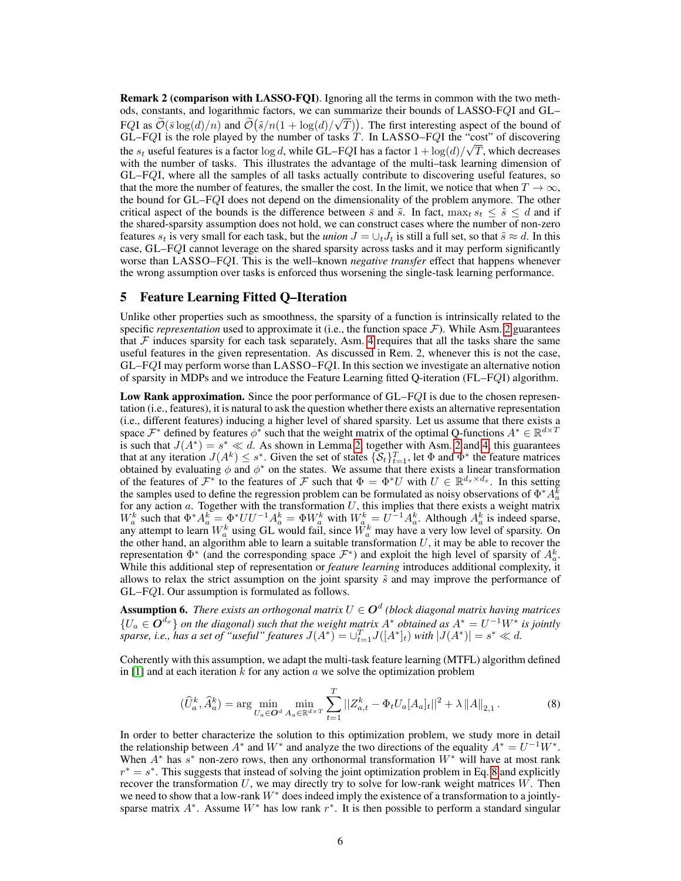Remark 2 (comparison with LASSO-FQI). Ignoring all the terms in common with the two methods, constants, and logarithmic factors, we can summarize their bounds of LASSO-FQI and GL– FQI as  $\mathcal{O}(\bar{s} \log(d)/n)$  and  $\mathcal{O}(\bar{s}/n(1 + \log(d)/\sqrt{T}))$ . The first interesting aspect of the bound of GL–FQI is the role played by the number of tasks T. In LASSO–FQI the "cost" of discovering the  $s_t$  useful features is a factor  $\log d$ , while GL–FQI has a factor  $1 + \log(d)/\sqrt{T}$ , which decreases with the number of tasks. This illustrates the advantage of the multi–task learning dimension of GL–FQI, where all the samples of all tasks actually contribute to discovering useful features, so that the more the number of features, the smaller the cost. In the limit, we notice that when  $T \to \infty$ , the bound for GL–FQI does not depend on the dimensionality of the problem anymore. The other critical aspect of the bounds is the difference between  $\bar{s}$  and  $\tilde{s}$ . In fact, max<sub>t</sub>  $s_t \leq \tilde{s} \leq d$  and if the shared-sparsity assumption does not hold, we can construct cases where the number of non-zero features  $s_t$  is very small for each task, but the *union*  $J = \bigcup_t J_t$  is still a full set, so that  $\tilde{s} \approx d$ . In this case, GL–FQI cannot leverage on the shared sparsity across tasks and it may perform significantly worse than LASSO–FQI. This is the well–known *negative transfer* effect that happens whenever the wrong assumption over tasks is enforced thus worsening the single-task learning performance.

## 5 Feature Learning Fitted Q–Iteration

Unlike other properties such as smoothness, the sparsity of a function is intrinsically related to the specific *representation* used to approximate it (i.e., the function space  $\mathcal{F}$ ). While Asm. 2 guarantees that  $F$  induces sparsity for each task separately, Asm. 4 requires that all the tasks share the same useful features in the given representation. As discussed in Rem. 2, whenever this is not the case, GL–FQI may perform worse than LASSO–FQI. In this section we investigate an alternative notion of sparsity in MDPs and we introduce the Feature Learning fitted Q-iteration (FL–FQI) algorithm.

Low Rank approximation. Since the poor performance of GL–FQI is due to the chosen representation (i.e., features), it is natural to ask the question whether there exists an alternative representation (i.e., different features) inducing a higher level of shared sparsity. Let us assume that there exists a space  $\mathcal{F}^*$  defined by features  $\phi^*$  such that the weight matrix of the optimal Q-functions  $A^* \in \mathbb{R}^{d \times T}$ is such that  $J(A^*) = s^* \ll d$ . As shown in Lemma 2, together with Asm. 2 and 4, this guarantees that at any iteration  $J(A^k) \leq s^*$ . Given the set of states  $\{\mathcal{S}_t\}_{t=1}^T$ , let  $\Phi$  and  $\Phi^*$  the feature matrices obtained by evaluating  $\phi$  and  $\phi^*$  on the states. We assume that there exists a linear transformation of the features of  $\mathcal{F}^*$  to the features of  $\mathcal{F}$  such that  $\Phi = \Phi^* U$  with  $U \in \mathbb{R}^{d_x \times d_x}$ . In this setting the samples used to define the regression problem can be formulated as noisy observations of  $\Phi^* A_a^k$ The samples used to define the regression problem can be formulated as horsy observations of  $\Psi A_a$  for any action a. Together with the transformation U, this implies that there exists a weight matrix  $W_a^k$  such that  $\Phi^* A_a^k = \Phi^* U U^{-1} A_a^k = \Phi W_a^k$  with  $W_a^k = U^{-1} A_a^k$ . Although  $A_a^k$  is indeed sparse, any attempt to learn  $W_a^k$  using GL would fail, since  $\tilde{W}_a^k$  may have a very low level of sparsity. On the other hand, an algorithm able to learn a suitable transformation  $U$ , it may be able to recover the representation  $\Phi^*$  (and the corresponding space  $\mathcal{F}^*$ ) and exploit the high level of sparsity of  $A_a^k$ . While this additional step of representation or *feature learning* introduces additional complexity, it allows to relax the strict assumption on the joint sparsity  $\tilde{s}$  and may improve the performance of GL–FQI. Our assumption is formulated as follows.

**Assumption 6.** *There exists an orthogonal matrix*  $U \in \textbf{O}^d$  *(block diagonal matrix having matrices*  $\{U_a \in \mathbf{O}^{d_x}\}\$  on the diagonal) such that the weight matrix  $A^*$  obtained as  $A^* = U^{-1}W^*$  is jointly *sparse, i.e., has a set of "useful" features*  $J(A^*) = \bigcup_{t=1}^T J([A^*]_t)$  *with*  $|J(A^*)| = s^* \ll d$ .

Coherently with this assumption, we adapt the multi-task feature learning (MTFL) algorithm defined in [1] and at each iteration  $k$  for any action  $a$  we solve the optimization problem

$$
(\widehat{U}_a^k, \widehat{A}_a^k) = \arg\min_{U_a \in \mathbf{O}^d} \min_{A_a \in \mathbb{R}^{d \times T}} \sum_{t=1}^T ||Z_{a,t}^k - \Phi_t U_a [A_a]_t||^2 + \lambda ||A||_{2,1}.
$$
 (8)

In order to better characterize the solution to this optimization problem, we study more in detail the relationship between  $A^*$  and  $W^*$  and analyze the two directions of the equality  $A^* = U^{-1}W^*$ . When  $A^*$  has  $s^*$  non-zero rows, then any orthonormal transformation  $W^*$  will have at most rank  $r^* = s^*$ . This suggests that instead of solving the joint optimization problem in Eq. 8 and explicitly recover the transformation  $U$ , we may directly try to solve for low-rank weight matrices  $W$ . Then we need to show that a low-rank  $W^*$  does indeed imply the existence of a transformation to a jointlysparse matrix  $A^*$ . Assume  $W^*$  has low rank  $r^*$ . It is then possible to perform a standard singular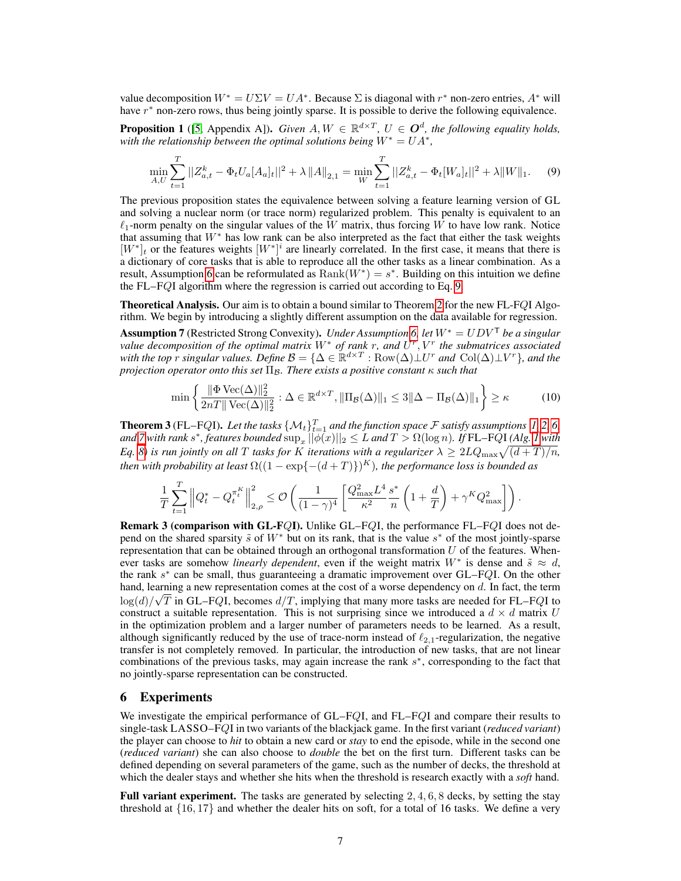value decomposition  $W^* = U\Sigma V = UA^*$ . Because  $\Sigma$  is diagonal with  $r^*$  non-zero entries,  $A^*$  will have  $r^*$  non-zero rows, thus being jointly sparse. It is possible to derive the following equivalence.

**Proposition 1** ([5, Appendix A]). *Given*  $A, W \in \mathbb{R}^{d \times T}$ ,  $U \in \mathbf{O}^d$ , the following equality holds, *with the relationship between the optimal solutions being*  $W^* = UA^*$ ,

$$
\min_{A,U} \sum_{t=1}^{T} ||Z_{a,t}^k - \Phi_t U_a [A_a]_t||^2 + \lambda ||A||_{2,1} = \min_W \sum_{t=1}^{T} ||Z_{a,t}^k - \Phi_t [W_a]_t||^2 + \lambda ||W||_1. \tag{9}
$$

The previous proposition states the equivalence between solving a feature learning version of GL and solving a nuclear norm (or trace norm) regularized problem. This penalty is equivalent to an  $\ell_1$ -norm penalty on the singular values of the W matrix, thus forcing W to have low rank. Notice that assuming that  $W^*$  has low rank can be also interpreted as the fact that either the task weights  $[W^*]_t$  or the features weights  $[W^*]^i$  are linearly correlated. In the first case, it means that there is a dictionary of core tasks that is able to reproduce all the other tasks as a linear combination. As a result, Assumption 6 can be reformulated as  $Rank(W^*) = s^*$ . Building on this intuition we define the FL–FQI algorithm where the regression is carried out according to Eq. 9.

Theoretical Analysis. Our aim is to obtain a bound similar to Theorem 2 for the new FL-FQI Algorithm. We begin by introducing a slightly different assumption on the data available for regression.

Assumption 7 (Restricted Strong Convexity). *Under Assumption 6, let*  $W^* = U D V^T$  *be a singular value decomposition of the optimal matrix*  $W^*$  *of rank r, and U<sup>r</sup>, V<sup>r</sup> the submatrices associated* with the top  $r$  singular values. Define  $B = \{ \Delta \in \mathbb{R}^{d \times T} : \text{Row}(\Delta) \perp U^r \text{ and } \text{Col}(\Delta) \perp V^r \}$ , and the *projection operator onto this set*  $\Pi$ <sub>*B</sub>. There exists a positive constant* κ *such that*</sub>

$$
\min \left\{ \frac{\|\Phi \operatorname{Vec}(\Delta)\|_2^2}{2nT \|\operatorname{Vec}(\Delta)\|_2^2} : \Delta \in \mathbb{R}^{d \times T}, \|\Pi_{\mathcal{B}}(\Delta)\|_1 \le 3\|\Delta - \Pi_{\mathcal{B}}(\Delta)\|_1 \right\} \ge \kappa \tag{10}
$$

**Theorem 3** (FL–FQI). Let the tasks  $\{M_t\}_{t=1}^T$  and the function space  $\mathcal F$  satisfy assumptions 1, 2, 6, and *7* with rank  $s^*$ , features bounded  $\sup_x||\overline{\phi}(x)||_2 \leq L$  and  $T > \Omega(\log n)$ . If FL–FQI (Alg. 1 with *Eq.* 8) is run jointly on all T tasks for K iterations with a regularizer  $\lambda \geq 2LQ_{\max}\sqrt{(d+T)/n}$ , then with probability at least  $\Omega((1 - \exp\{-(d+T)\})^K)$ , the performance loss is bounded as

$$
\frac{1}{T} \sum_{t=1}^T \left\| Q_t^* - Q_t^{\pi_t^K} \right\|_{2, \rho}^2 \leq \mathcal{O}\left( \frac{1}{(1 - \gamma)^4} \left[ \frac{Q_{\max}^2 L^4}{\kappa^2} \frac{s^*}{n} \left( 1 + \frac{d}{T} \right) + \gamma^K Q_{\max}^2 \right] \right).
$$

Remark 3 (comparison with GL-FQI). Unlike GL–FQI, the performance FL–FQI does not depend on the shared sparsity  $\tilde{s}$  of  $W^*$  but on its rank, that is the value  $s^*$  of the most jointly-sparse representation that can be obtained through an orthogonal transformation  $U$  of the features. Whenever tasks are somehow *linearly dependent*, even if the weight matrix  $W^*$  is dense and  $\tilde{s} \approx d$ , the rank  $s^*$  can be small, thus guaranteeing a dramatic improvement over GL–FQI. On the other hand, learning a new representation comes at the cost of a worse dependency on d. In fact, the term  $log(d)/\sqrt{T}$  in GL–FQI, becomes  $d/T$ , implying that many more tasks are needed for FL–FQI to construct a suitable representation. This is not surprising since we introduced a  $d \times d$  matrix U in the optimization problem and a larger number of parameters needs to be learned. As a result, although significantly reduced by the use of trace-norm instead of  $\ell_{2,1}$ -regularization, the negative transfer is not completely removed. In particular, the introduction of new tasks, that are not linear combinations of the previous tasks, may again increase the rank  $s^*$ , corresponding to the fact that no jointly-sparse representation can be constructed.

# 6 Experiments

We investigate the empirical performance of  $GL-FQI$ , and  $FL-FQI$  and compare their results to single-task LASSO–FQI in two variants of the blackjack game. In the first variant (*reduced variant*) the player can choose to *hit* to obtain a new card or *stay* to end the episode, while in the second one (*reduced variant*) she can also choose to *double* the bet on the first turn. Different tasks can be defined depending on several parameters of the game, such as the number of decks, the threshold at which the dealer stays and whether she hits when the threshold is research exactly with a *soft* hand.

Full variant experiment. The tasks are generated by selecting 2, 4, 6, 8 decks, by setting the stay threshold at {16, 17} and whether the dealer hits on soft, for a total of 16 tasks. We define a very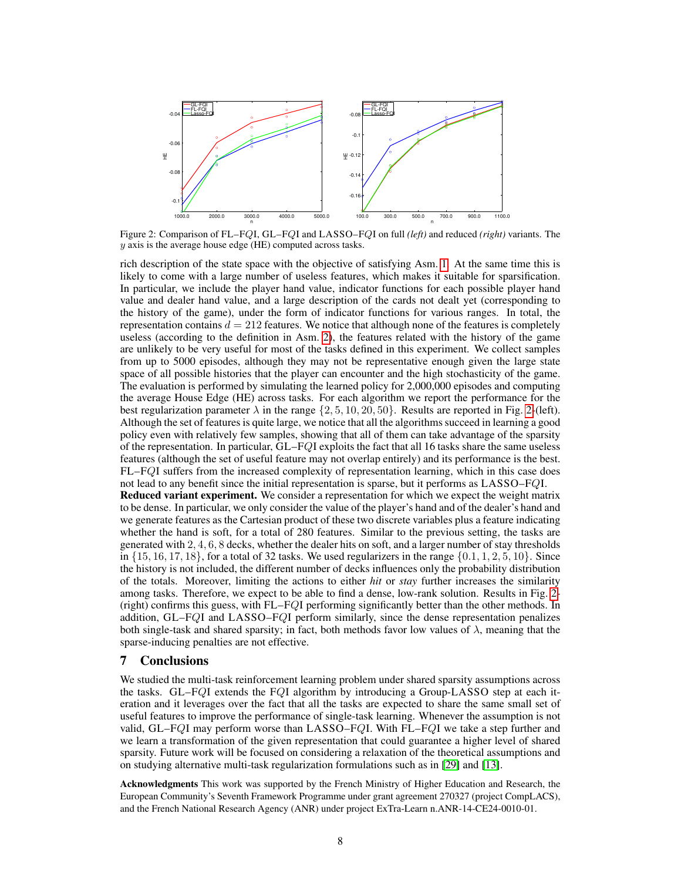

Figure 2: Comparison of FL–FQI, GL–FQI and LASSO–FQI on full *(left)* and reduced *(right)* variants. The y axis is the average house edge (HE) computed across tasks.

rich description of the state space with the objective of satisfying Asm. 1. At the same time this is likely to come with a large number of useless features, which makes it suitable for sparsification. In particular, we include the player hand value, indicator functions for each possible player hand value and dealer hand value, and a large description of the cards not dealt yet (corresponding to the history of the game), under the form of indicator functions for various ranges. In total, the representation contains  $d = 212$  features. We notice that although none of the features is completely useless (according to the definition in Asm. 2), the features related with the history of the game are unlikely to be very useful for most of the tasks defined in this experiment. We collect samples from up to 5000 episodes, although they may not be representative enough given the large state space of all possible histories that the player can encounter and the high stochasticity of the game. The evaluation is performed by simulating the learned policy for 2,000,000 episodes and computing the average House Edge (HE) across tasks. For each algorithm we report the performance for the best regularization parameter  $\lambda$  in the range  $\{2, 5, 10, 20, 50\}$ . Results are reported in Fig. 2-(left). Although the set of features is quite large, we notice that all the algorithms succeed in learning a good policy even with relatively few samples, showing that all of them can take advantage of the sparsity of the representation. In particular, GL–FQI exploits the fact that all 16 tasks share the same useless features (although the set of useful feature may not overlap entirely) and its performance is the best. FL–FQI suffers from the increased complexity of representation learning, which in this case does not lead to any benefit since the initial representation is sparse, but it performs as LASSO–FQI. Reduced variant experiment. We consider a representation for which we expect the weight matrix to be dense. In particular, we only consider the value of the player's hand and of the dealer's hand and we generate features as the Cartesian product of these two discrete variables plus a feature indicating whether the hand is soft, for a total of 280 features. Similar to the previous setting, the tasks are generated with 2, 4, 6, 8 decks, whether the dealer hits on soft, and a larger number of stay thresholds in  $\{15, 16, 17, 18\}$ , for a total of 32 tasks. We used regularizers in the range  $\{0.1, 1, 2, 5, 10\}$ . Since the history is not included, the different number of decks influences only the probability distribution of the totals. Moreover, limiting the actions to either *hit* or *stay* further increases the similarity among tasks. Therefore, we expect to be able to find a dense, low-rank solution. Results in Fig. 2- (right) confirms this guess, with FL–FQI performing significantly better than the other methods. In addition, GL–FQI and LASSO–FQI perform similarly, since the dense representation penalizes both single-task and shared sparsity; in fact, both methods favor low values of  $\lambda$ , meaning that the sparse-inducing penalties are not effective.

#### 7 Conclusions

We studied the multi-task reinforcement learning problem under shared sparsity assumptions across the tasks. GL–FQI extends the FQI algorithm by introducing a Group-LASSO step at each iteration and it leverages over the fact that all the tasks are expected to share the same small set of useful features to improve the performance of single-task learning. Whenever the assumption is not valid, GL–FQI may perform worse than LASSO–FQI. With FL–FQI we take a step further and we learn a transformation of the given representation that could guarantee a higher level of shared sparsity. Future work will be focused on considering a relaxation of the theoretical assumptions and on studying alternative multi-task regularization formulations such as in [29] and [13].

Acknowledgments This work was supported by the French Ministry of Higher Education and Research, the European Community's Seventh Framework Programme under grant agreement 270327 (project CompLACS), and the French National Research Agency (ANR) under project ExTra-Learn n.ANR-14-CE24-0010-01.